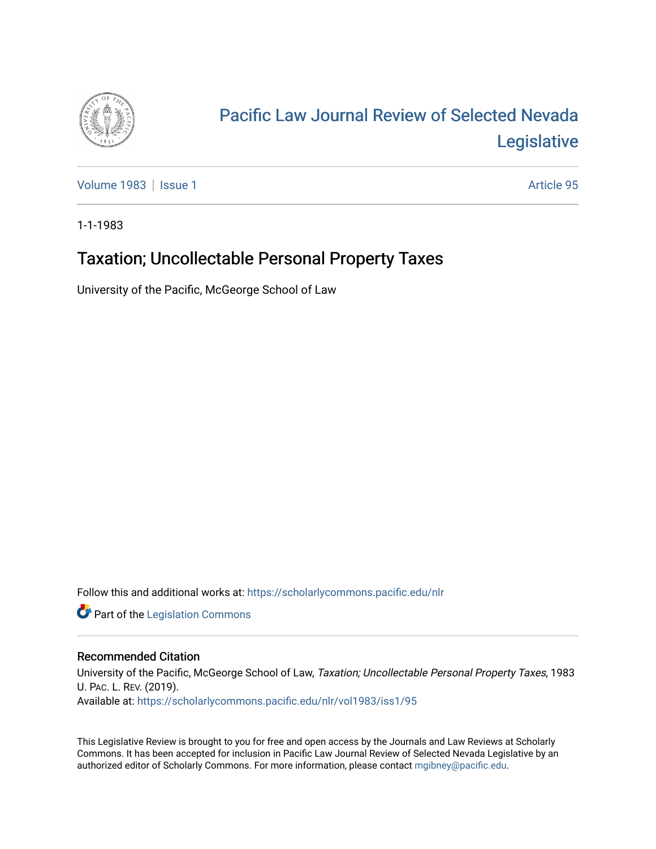

# [Pacific Law Journal Review of Selected Nevada](https://scholarlycommons.pacific.edu/nlr)  [Legislative](https://scholarlycommons.pacific.edu/nlr)

[Volume 1983](https://scholarlycommons.pacific.edu/nlr/vol1983) | [Issue 1](https://scholarlycommons.pacific.edu/nlr/vol1983/iss1) Article 95

1-1-1983

## Taxation; Uncollectable Personal Property Taxes

University of the Pacific, McGeorge School of Law

Follow this and additional works at: [https://scholarlycommons.pacific.edu/nlr](https://scholarlycommons.pacific.edu/nlr?utm_source=scholarlycommons.pacific.edu%2Fnlr%2Fvol1983%2Fiss1%2F95&utm_medium=PDF&utm_campaign=PDFCoverPages) 

**Part of the [Legislation Commons](http://network.bepress.com/hgg/discipline/859?utm_source=scholarlycommons.pacific.edu%2Fnlr%2Fvol1983%2Fiss1%2F95&utm_medium=PDF&utm_campaign=PDFCoverPages)** 

### Recommended Citation

University of the Pacific, McGeorge School of Law, Taxation; Uncollectable Personal Property Taxes, 1983 U. PAC. L. REV. (2019). Available at: [https://scholarlycommons.pacific.edu/nlr/vol1983/iss1/95](https://scholarlycommons.pacific.edu/nlr/vol1983/iss1/95?utm_source=scholarlycommons.pacific.edu%2Fnlr%2Fvol1983%2Fiss1%2F95&utm_medium=PDF&utm_campaign=PDFCoverPages)

This Legislative Review is brought to you for free and open access by the Journals and Law Reviews at Scholarly Commons. It has been accepted for inclusion in Pacific Law Journal Review of Selected Nevada Legislative by an authorized editor of Scholarly Commons. For more information, please contact [mgibney@pacific.edu](mailto:mgibney@pacific.edu).